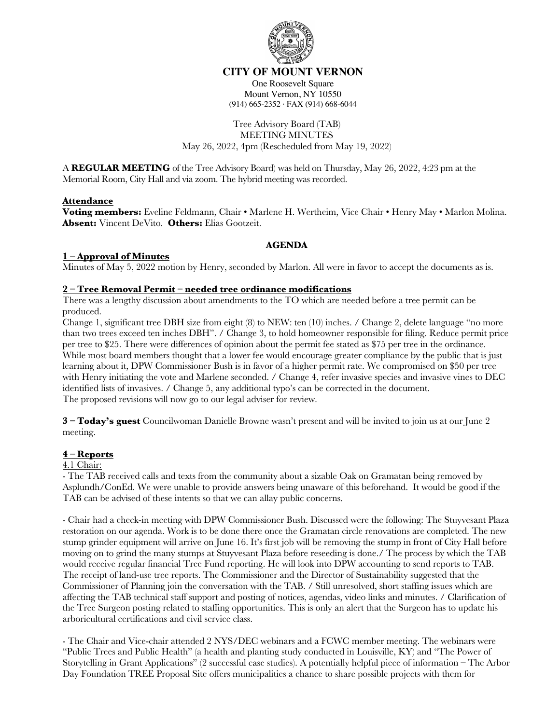

## **CITY OF MOUNT VERNON**

One Roosevelt Square Mount Vernon, NY 10550 (914) 665-2352 · FAX (914) 668-6044

## Tree Advisory Board (TAB) MEETING MINUTES May 26, 2022, 4pm (Rescheduled from May 19, 2022)

A **REGULAR MEETING** of the Tree Advisory Board) was held on Thursday, May 26, 2022, 4:23 pm at the Memorial Room, City Hall and via zoom. The hybrid meeting was recorded.

#### **Attendance**

**Voting members:** Eveline Feldmann, Chair • Marlene H. Wertheim, Vice Chair • Henry May • Marlon Molina. **Absent:** Vincent DeVito. **Others:** Elias Gootzeit.

## **AGENDA**

## **1 – Approval of Minutes**

Minutes of May 5, 2022 motion by Henry, seconded by Marlon. All were in favor to accept the documents as is.

## **2 – Tree Removal Permit – needed tree ordinance modifications**

There was a lengthy discussion about amendments to the TO which are needed before a tree permit can be produced.

Change 1, significant tree DBH size from eight (8) to NEW: ten (10) inches. / Change 2, delete language "no more than two trees exceed ten inches DBH". / Change 3, to hold homeowner responsible for filing. Reduce permit price per tree to \$25. There were differences of opinion about the permit fee stated as \$75 per tree in the ordinance. While most board members thought that a lower fee would encourage greater compliance by the public that is just learning about it, DPW Commissioner Bush is in favor of a higher permit rate. We compromised on \$50 per tree with Henry initiating the vote and Marlene seconded. / Change 4, refer invasive species and invasive vines to DEC identified lists of invasives. / Change 5, any additional typo's can be corrected in the document. The proposed revisions will now go to our legal adviser for review.

**3 – Today's guest** Councilwoman Danielle Browne wasn't present and will be invited to join us at our June 2 meeting.

#### **4 – Reports**

#### 4.1 Chair:

- The TAB received calls and texts from the community about a sizable Oak on Gramatan being removed by Asplundh/ConEd. We were unable to provide answers being unaware of this beforehand. It would be good if the TAB can be advised of these intents so that we can allay public concerns.

- Chair had a check-in meeting with DPW Commissioner Bush. Discussed were the following: The Stuyvesant Plaza restoration on our agenda. Work is to be done there once the Gramatan circle renovations are completed. The new stump grinder equipment will arrive on June 16. It's first job will be removing the stump in front of City Hall before moving on to grind the many stumps at Stuyvesant Plaza before reseeding is done./ The process by which the TAB would receive regular financial Tree Fund reporting. He will look into DPW accounting to send reports to TAB. The receipt of land-use tree reports. The Commissioner and the Director of Sustainability suggested that the Commissioner of Planning join the conversation with the TAB. / Still unresolved, short staffing issues which are affecting the TAB technical staff support and posting of notices, agendas, video links and minutes. / Clarification of the Tree Surgeon posting related to staffing opportunities. This is only an alert that the Surgeon has to update his arboricultural certifications and civil service class.

- The Chair and Vice-chair attended 2 NYS/DEC webinars and a FCWC member meeting. The webinars were "Public Trees and Public Health" (a health and planting study conducted in Louisville, KY) and "The Power of Storytelling in Grant Applications" (2 successful case studies). A potentially helpful piece of information – The Arbor Day Foundation TREE Proposal Site offers municipalities a chance to share possible projects with them for